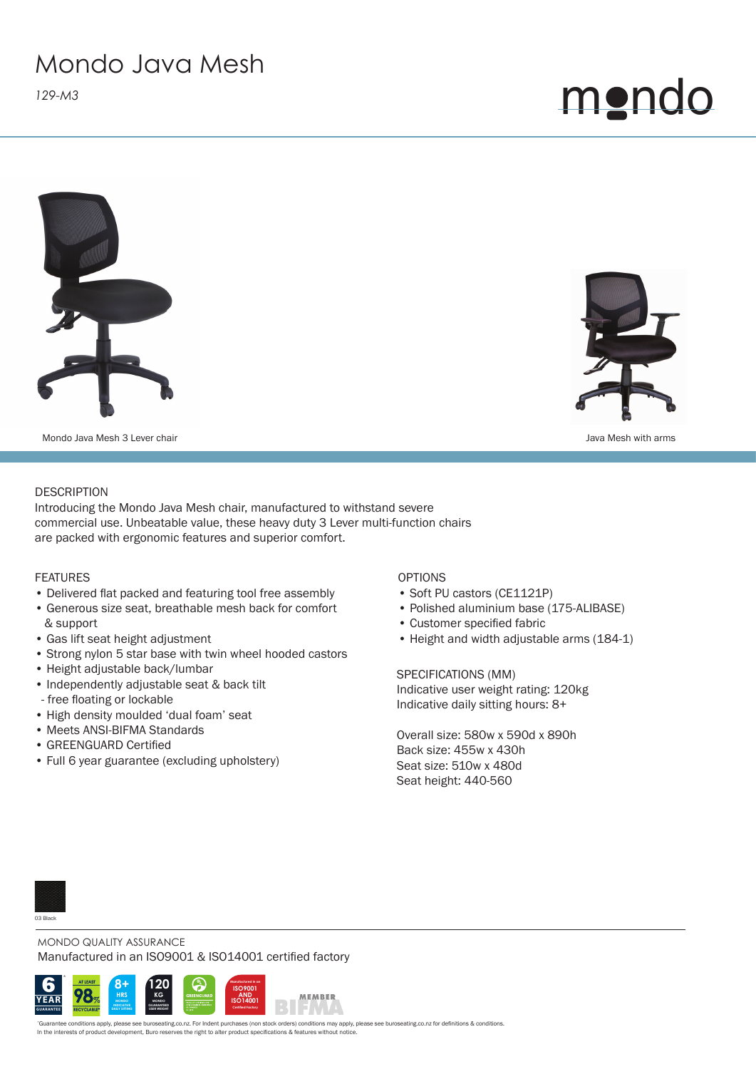## Mondo Java Mesh

*129-M3*







Mondo Java Mesh 3 Lever chair **Mondo Java Mesh 3** Lever chair Java Mesh with arms

### **DESCRIPTION**

Introducing the Mondo Java Mesh chair, manufactured to withstand severe commercial use. Unbeatable value, these heavy duty 3 Lever multi-function chairs are packed with ergonomic features and superior comfort.

FEATURES

- Delivered flat packed and featuring tool free assembly
- Generous size seat, breathable mesh back for comfort & support
- Gas lift seat height adjustment
- Strong nylon 5 star base with twin wheel hooded castors
- Height adjustable back/lumbar
- Independently adjustable seat & back tilt
- free floating or lockable
- High density moulded 'dual foam' seat
- Meets ANSI-BIFMA Standards
- GREENGUARD Certified
- Full 6 year guarantee (excluding upholstery)

#### OPTIONS

- Soft PU castors (CE1121P)
- Polished aluminium base (175-ALIBASE)
- Customer specified fabric
- Height and width adjustable arms (184-1)

SPECIFICATIONS (MM) Indicative user weight rating: 120kg Indicative daily sitting hours: 8+

Overall size: 580w x 590d x 890h Back size: 455w x 430h Seat size: 510w x 480d Seat height: 440-560



MONDO QUALITY ASSURANCE Manufactured in an ISO9001 & ISO14001 certified factory



*\**Guarantee conditions apply, please see buroseating.co.nz. For Indent purchases (non stock orders) conditions may apply, please see buroseating.co.nz for defi nitions & conditions. In the interests of product development, Buro reserves the right to alter product specifications & features without notice.

MEMBER